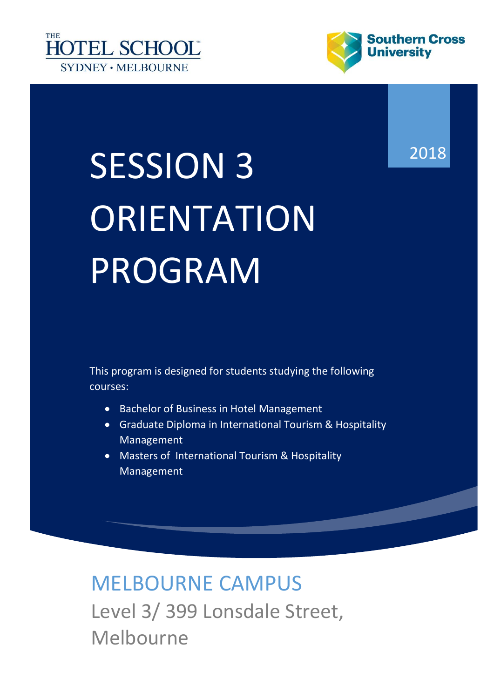



# SESSION 3 ORIENTATION PROGRAM

This program is designed for students studying the following courses:

- Bachelor of Business in Hotel Management
- Graduate Diploma in International Tourism & Hospitality Management
- Masters of International Tourism & Hospitality Management

MELBOURNE CAMPUS Level 3/ 399 Lonsdale Street, Melbourne

2018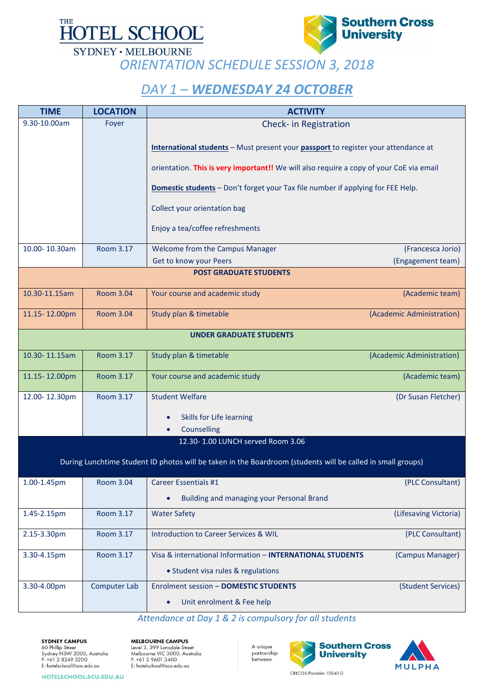

**SYDNEY · MELBOURNE** 



*ORIENTATION SCHEDULE SESSION 3, 2018*

### *DAY 1 – WEDNESDAY 24 OCTOBER*

| <b>TIME</b>                                                                                                 | <b>LOCATION</b>     | <b>ACTIVITY</b>                                                                                                                                                                                                                                                                                                                            |                           |  |
|-------------------------------------------------------------------------------------------------------------|---------------------|--------------------------------------------------------------------------------------------------------------------------------------------------------------------------------------------------------------------------------------------------------------------------------------------------------------------------------------------|---------------------------|--|
| 9.30-10.00am                                                                                                | Foyer               | Check- in Registration                                                                                                                                                                                                                                                                                                                     |                           |  |
|                                                                                                             |                     | International students - Must present your passport to register your attendance at<br>orientation. This is very important!! We will also require a copy of your CoE via email<br><b>Domestic students</b> - Don't forget your Tax file number if applying for FEE Help.<br>Collect your orientation bag<br>Enjoy a tea/coffee refreshments |                           |  |
| 10.00-10.30am                                                                                               | Room 3.17           | Welcome from the Campus Manager                                                                                                                                                                                                                                                                                                            | (Francesca Jorio)         |  |
|                                                                                                             |                     | Get to know your Peers                                                                                                                                                                                                                                                                                                                     | (Engagement team)         |  |
| <b>POST GRADUATE STUDENTS</b>                                                                               |                     |                                                                                                                                                                                                                                                                                                                                            |                           |  |
| 10.30-11.15am                                                                                               | <b>Room 3.04</b>    | Your course and academic study                                                                                                                                                                                                                                                                                                             | (Academic team)           |  |
| 11.15-12.00pm                                                                                               | <b>Room 3.04</b>    | Study plan & timetable                                                                                                                                                                                                                                                                                                                     | (Academic Administration) |  |
| <b>UNDER GRADUATE STUDENTS</b>                                                                              |                     |                                                                                                                                                                                                                                                                                                                                            |                           |  |
| 10.30-11.15am                                                                                               | <b>Room 3.17</b>    | Study plan & timetable                                                                                                                                                                                                                                                                                                                     | (Academic Administration) |  |
| 11.15-12.00pm                                                                                               | <b>Room 3.17</b>    | Your course and academic study                                                                                                                                                                                                                                                                                                             | (Academic team)           |  |
| 12.00-12.30pm                                                                                               | Room 3.17           | <b>Student Welfare</b>                                                                                                                                                                                                                                                                                                                     | (Dr Susan Fletcher)       |  |
|                                                                                                             |                     | Skills for Life learning<br>$\bullet$                                                                                                                                                                                                                                                                                                      |                           |  |
|                                                                                                             |                     | Counselling                                                                                                                                                                                                                                                                                                                                |                           |  |
|                                                                                                             |                     | 12.30-1.00 LUNCH served Room 3.06                                                                                                                                                                                                                                                                                                          |                           |  |
| During Lunchtime Student ID photos will be taken in the Boardroom (students will be called in small groups) |                     |                                                                                                                                                                                                                                                                                                                                            |                           |  |
| 1.00-1.45pm                                                                                                 | <b>Room 3.04</b>    | <b>Career Essentials #1</b>                                                                                                                                                                                                                                                                                                                | (PLC Consultant)          |  |
|                                                                                                             |                     | Building and managing your Personal Brand<br>$\bullet$                                                                                                                                                                                                                                                                                     |                           |  |
| 1.45-2.15pm                                                                                                 | Room 3.17           | <b>Water Safety</b>                                                                                                                                                                                                                                                                                                                        | (Lifesaving Victoria)     |  |
| 2.15-3.30pm                                                                                                 | <b>Room 3.17</b>    | <b>Introduction to Career Services &amp; WIL</b>                                                                                                                                                                                                                                                                                           | (PLC Consultant)          |  |
| 3.30-4.15pm                                                                                                 | Room 3.17           | Visa & international Information - INTERNATIONAL STUDENTS                                                                                                                                                                                                                                                                                  | (Campus Manager)          |  |
|                                                                                                             |                     | • Student visa rules & regulations                                                                                                                                                                                                                                                                                                         |                           |  |
| 3.30-4.00pm                                                                                                 | <b>Computer Lab</b> | <b>Enrolment session - DOMESTIC STUDENTS</b>                                                                                                                                                                                                                                                                                               | (Student Services)        |  |
|                                                                                                             |                     | Unit enrolment & Fee help<br>$\bullet$                                                                                                                                                                                                                                                                                                     |                           |  |

#### *Attendance at Day 1 & 2 is compulsory for all students*

**SYDNEY CAMPUS** 60 Phillip Street<br>Sydney NSW 2000, Australia<br>P: +61 2 8249 3200 E: hotelschool@scu.edu.au

**MELBOURNE CAMPUS** Level 3, 399 Lonsdale Street<br>Melbourne VIC 3000, Australia<br>P: +61 3 9601 3400 E: hotelschool@scu.edu.au

A unique partnership between



HOTELSCHOOL.SCU.EDU.AU